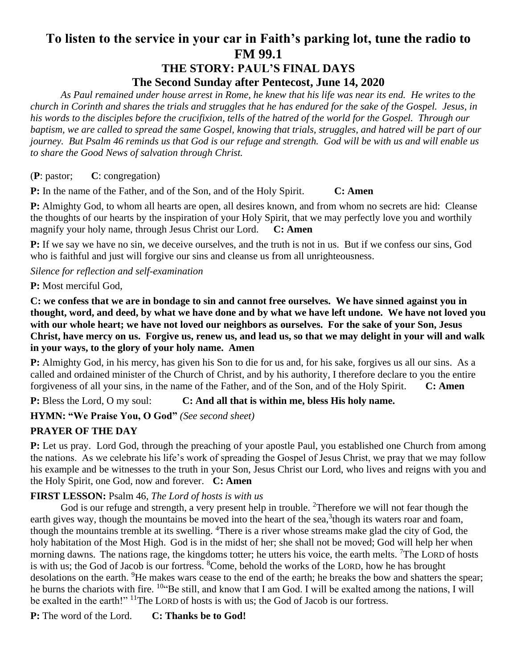# **To listen to the service in your car in Faith's parking lot, tune the radio to FM 99.1 THE STORY: PAUL'S FINAL DAYS**

# **The Second Sunday after Pentecost, June 14, 2020**

*As Paul remained under house arrest in Rome, he knew that his life was near its end. He writes to the church in Corinth and shares the trials and struggles that he has endured for the sake of the Gospel. Jesus, in his words to the disciples before the crucifixion, tells of the hatred of the world for the Gospel. Through our baptism, we are called to spread the same Gospel, knowing that trials, struggles, and hatred will be part of our journey. But Psalm 46 reminds us that God is our refuge and strength. God will be with us and will enable us to share the Good News of salvation through Christ.*

(**P**: pastor; **C**: congregation)

**P:** In the name of the Father, and of the Son, and of the Holy Spirit. **C: Amen**

**P:** Almighty God, to whom all hearts are open, all desires known, and from whom no secrets are hid: Cleanse the thoughts of our hearts by the inspiration of your Holy Spirit, that we may perfectly love you and worthily magnify your holy name, through Jesus Christ our Lord. **C: Amen**

**P:** If we say we have no sin, we deceive ourselves, and the truth is not in us. But if we confess our sins, God who is faithful and just will forgive our sins and cleanse us from all unrighteousness.

*Silence for reflection and self-examination*

**P:** Most merciful God,

**C: we confess that we are in bondage to sin and cannot free ourselves. We have sinned against you in thought, word, and deed, by what we have done and by what we have left undone. We have not loved you with our whole heart; we have not loved our neighbors as ourselves. For the sake of your Son, Jesus Christ, have mercy on us. Forgive us, renew us, and lead us, so that we may delight in your will and walk in your ways, to the glory of your holy name. Amen**

**P:** Almighty God, in his mercy, has given his Son to die for us and, for his sake, forgives us all our sins. As a called and ordained minister of the Church of Christ, and by his authority, I therefore declare to you the entire forgiveness of all your sins, in the name of the Father, and of the Son, and of the Holy Spirit. **C: Amen**

**P:** Bless the Lord, O my soul: **C: And all that is within me, bless His holy name.**

**HYMN: "We Praise You, O God"** *(See second sheet)*

# **PRAYER OF THE DAY**

**P:** Let us pray. Lord God, through the preaching of your apostle Paul, you established one Church from among the nations. As we celebrate his life's work of spreading the Gospel of Jesus Christ, we pray that we may follow his example and be witnesses to the truth in your Son, Jesus Christ our Lord, who lives and reigns with you and the Holy Spirit, one God, now and forever. **C: Amen**

## **FIRST LESSON:** Psalm 46*, The Lord of hosts is with us*

God is our refuge and strength, a very present help in trouble. <sup>2</sup>Therefore we will not fear though the earth gives way, though the mountains be moved into the heart of the sea, $3$ though its waters roar and foam, though the mountains tremble at its swelling. <sup>4</sup>There is a river whose streams make glad the city of God, the holy habitation of the Most High. God is in the midst of her; she shall not be moved; God will help her when morning dawns. The nations rage, the kingdoms totter; he utters his voice, the earth melts. <sup>7</sup>The LORD of hosts is with us; the God of Jacob is our fortress. <sup>8</sup>Come, behold the works of the LORD, how he has brought desolations on the earth. <sup>9</sup>He makes wars cease to the end of the earth; he breaks the bow and shatters the spear; he burns the chariots with fire. <sup>10</sup> Be still, and know that I am God. I will be exalted among the nations, I will be exalted in the earth!" <sup>11</sup>The LORD of hosts is with us; the God of Jacob is our fortress.

**P:** The word of the Lord. **C: Thanks be to God!**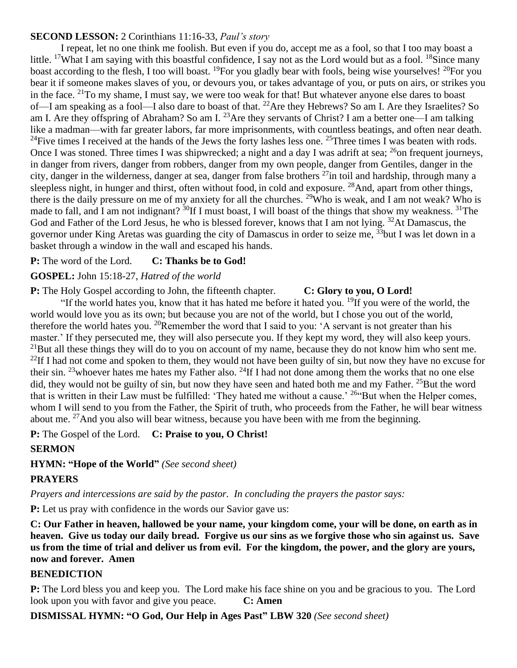## **SECOND LESSON:** 2 Corinthians 11:16-33, *Paul's story*

I repeat, let no one think me foolish. But even if you do, accept me as a fool, so that I too may boast a little. <sup>17</sup>What I am saying with this boastful confidence, I say not as the Lord would but as a fool. <sup>18</sup>Since many boast according to the flesh, I too will boast. <sup>19</sup>For you gladly bear with fools, being wise yourselves! <sup>20</sup>For you bear it if someone makes slaves of you, or devours you, or takes advantage of you, or puts on airs, or strikes you in the face. <sup>21</sup>To my shame, I must say, we were too weak for that! But whatever anyone else dares to boast of—I am speaking as a fool—I also dare to boast of that. <sup>22</sup>Are they Hebrews? So am I. Are they Israelites? So am I. Are they offspring of Abraham? So am I. <sup>23</sup> Are they servants of Christ? I am a better one—I am talking like a madman—with far greater labors, far more imprisonments, with countless beatings, and often near death. <sup>24</sup>Five times I received at the hands of the Jews the forty lashes less one. <sup>25</sup>Three times I was beaten with rods. Once I was stoned. Three times I was shipwrecked; a night and a day I was adrift at sea;  $^{26}$ on frequent journeys, in danger from rivers, danger from robbers, danger from my own people, danger from Gentiles, danger in the city, danger in the wilderness, danger at sea, danger from false brothers <sup>27</sup>in toil and hardship, through many a sleepless night, in hunger and thirst, often without food, in cold and exposure. <sup>28</sup>And, apart from other things, there is the daily pressure on me of my anxiety for all the churches. <sup>29</sup>Who is weak, and I am not weak? Who is made to fall, and I am not indignant?  ${}^{30}$ If I must boast, I will boast of the things that show my weakness.  ${}^{31}$ The God and Father of the Lord Jesus, he who is blessed forever, knows that I am not lying. <sup>32</sup>At Damascus, the governor under King Aretas was guarding the city of Damascus in order to seize me, <sup>33</sup>but I was let down in a basket through a window in the wall and escaped his hands.

#### **P:** The word of the Lord. **C: Thanks be to God!**

## **GOSPEL:** John 15:18-27, *Hatred of the world*

#### **P:** The Holy Gospel according to John, the fifteenth chapter. **C: Glory to you, O Lord!**

"If the world hates you, know that it has hated me before it hated you. <sup>19</sup>If you were of the world, the world would love you as its own; but because you are not of the world, but I chose you out of the world, therefore the world hates you. <sup>20</sup>Remember the word that I said to you: 'A servant is not greater than his master.' If they persecuted me, they will also persecute you. If they kept my word, they will also keep yours.  $^{21}$ But all these things they will do to you on account of my name, because they do not know him who sent me. <sup>22</sup>If I had not come and spoken to them, they would not have been guilty of sin, but now they have no excuse for their sin. <sup>23</sup>whoever hates me hates my Father also. <sup>24</sup>If I had not done among them the works that no one else did, they would not be guilty of sin, but now they have seen and hated both me and my Father.  $^{25}$ But the word that is written in their Law must be fulfilled: 'They hated me without a cause.' <sup>26</sup> But when the Helper comes, whom I will send to you from the Father, the Spirit of truth, who proceeds from the Father, he will bear witness about me. <sup>27</sup>And you also will bear witness, because you have been with me from the beginning.

**P:** The Gospel of the Lord. **C: Praise to you, O Christ!**

## **SERMON**

## **HYMN: "Hope of the World"** *(See second sheet)*

## **PRAYERS**

*Prayers and intercessions are said by the pastor. In concluding the prayers the pastor says:*

**P:** Let us pray with confidence in the words our Savior gave us:

**C: Our Father in heaven, hallowed be your name, your kingdom come, your will be done, on earth as in heaven. Give us today our daily bread. Forgive us our sins as we forgive those who sin against us. Save us from the time of trial and deliver us from evil. For the kingdom, the power, and the glory are yours, now and forever. Amen**

## **BENEDICTION**

**P:** The Lord bless you and keep you. The Lord make his face shine on you and be gracious to you. The Lord look upon you with favor and give you peace. **C: Amen**

**DISMISSAL HYMN: "O God, Our Help in Ages Past" LBW 320** *(See second sheet)*